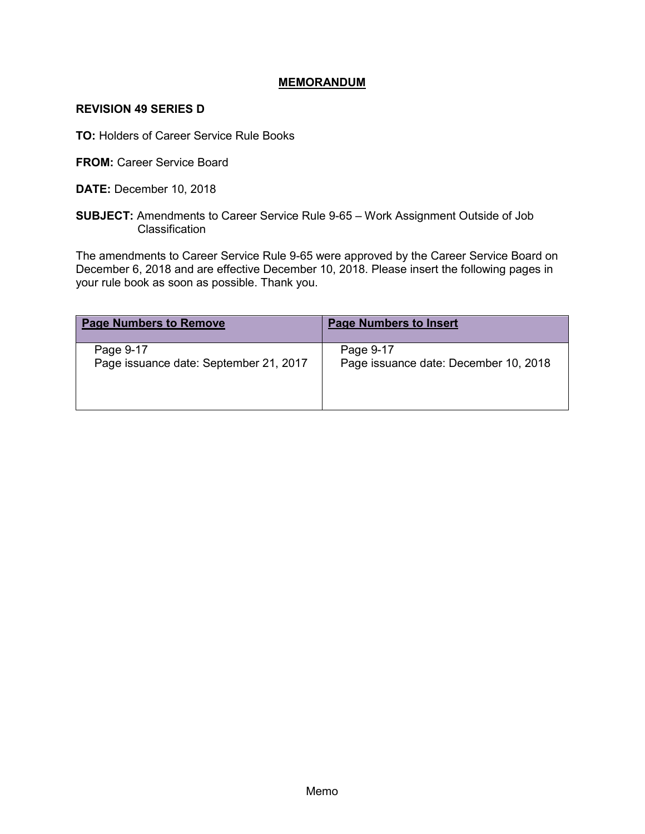## **MEMORANDUM**

## **REVISION 49 SERIES D**

**TO:** Holders of Career Service Rule Books

**FROM: Career Service Board** 

**DATE:** December 10, 2018

**SUBJECT:** Amendments to Career Service Rule 9-65 – Work Assignment Outside of Job Classification

The amendments to Career Service Rule 9-65 were approved by the Career Service Board on December 6, 2018 and are effective December 10, 2018. Please insert the following pages in your rule book as soon as possible. Thank you.

| <b>Page Numbers to Remove</b>          | <b>Page Numbers to Insert</b>         |
|----------------------------------------|---------------------------------------|
| Page 9-17                              | Page 9-17                             |
| Page issuance date: September 21, 2017 | Page issuance date: December 10, 2018 |